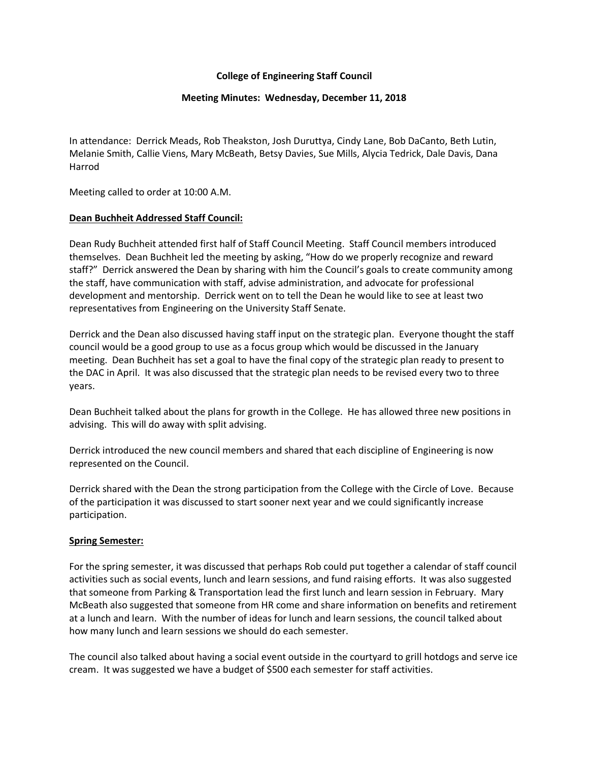## **College of Engineering Staff Council**

#### **Meeting Minutes: Wednesday, December 11, 2018**

In attendance: Derrick Meads, Rob Theakston, Josh Duruttya, Cindy Lane, Bob DaCanto, Beth Lutin, Melanie Smith, Callie Viens, Mary McBeath, Betsy Davies, Sue Mills, Alycia Tedrick, Dale Davis, Dana Harrod

Meeting called to order at 10:00 A.M.

## **Dean Buchheit Addressed Staff Council:**

Dean Rudy Buchheit attended first half of Staff Council Meeting. Staff Council members introduced themselves. Dean Buchheit led the meeting by asking, "How do we properly recognize and reward staff?" Derrick answered the Dean by sharing with him the Council's goals to create community among the staff, have communication with staff, advise administration, and advocate for professional development and mentorship. Derrick went on to tell the Dean he would like to see at least two representatives from Engineering on the University Staff Senate.

Derrick and the Dean also discussed having staff input on the strategic plan. Everyone thought the staff council would be a good group to use as a focus group which would be discussed in the January meeting. Dean Buchheit has set a goal to have the final copy of the strategic plan ready to present to the DAC in April. It was also discussed that the strategic plan needs to be revised every two to three years.

Dean Buchheit talked about the plans for growth in the College. He has allowed three new positions in advising. This will do away with split advising.

Derrick introduced the new council members and shared that each discipline of Engineering is now represented on the Council.

Derrick shared with the Dean the strong participation from the College with the Circle of Love. Because of the participation it was discussed to start sooner next year and we could significantly increase participation.

## **Spring Semester:**

For the spring semester, it was discussed that perhaps Rob could put together a calendar of staff council activities such as social events, lunch and learn sessions, and fund raising efforts. It was also suggested that someone from Parking & Transportation lead the first lunch and learn session in February. Mary McBeath also suggested that someone from HR come and share information on benefits and retirement at a lunch and learn. With the number of ideas for lunch and learn sessions, the council talked about how many lunch and learn sessions we should do each semester.

The council also talked about having a social event outside in the courtyard to grill hotdogs and serve ice cream. It was suggested we have a budget of \$500 each semester for staff activities.